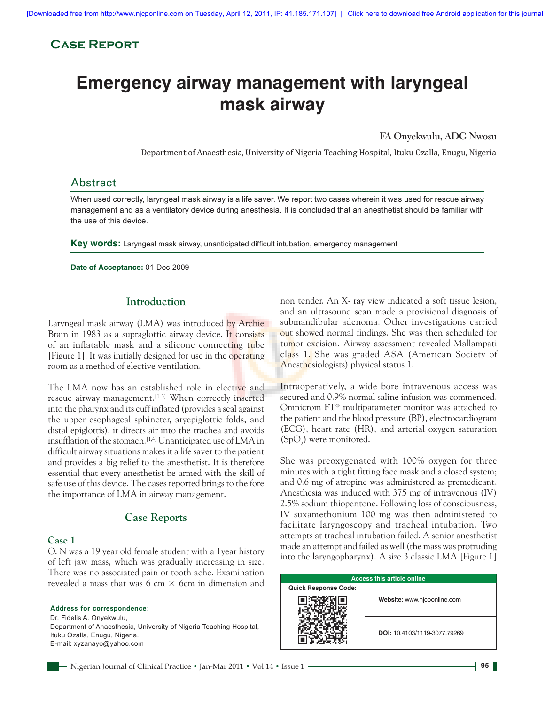# **Case Report**

# **Emergency airway management with laryngeal mask airway**

**FA Onyekwulu, ADG Nwosu**

Department of Anaesthesia, University of Nigeria Teaching Hospital, Ituku Ozalla, Enugu, Nigeria

## Abstract

When used correctly, laryngeal mask airway is a life saver. We report two cases wherein it was used for rescue airway management and as a ventilatory device during anesthesia. It is concluded that an anesthetist should be familiar with the use of this device.

**Key words:** Laryngeal mask airway, unanticipated difficult intubation, emergency management

**Date of Acceptance:** 01-Dec-2009

### **Introduction**

Laryngeal mask airway (LMA) was introduced by Archie Brain in 1983 as a supraglottic airway device. It consists of an inflatable mask and a silicone connecting tube [Figure 1]. It was initially designed for use in the operating room as a method of elective ventilation.

The LMA now has an established role in elective and rescue airway management.<sup>[1-3]</sup> When correctly inserted into the pharynx and its cuff inflated (provides a seal against the upper esophageal sphincter, aryepiglottic folds, and distal epiglottis), it directs air into the trachea and avoids insufflation of the stomach.<sup>[1,4]</sup> Unanticipated use of LMA in difficult airway situations makes it a life saver to the patient and provides a big relief to the anesthetist. It is therefore essential that every anesthetist be armed with the skill of safe use of this device. The cases reported brings to the fore the importance of LMA in airway management.

## **Case Reports**

#### **Case 1**

O. N was a 19 year old female student with a 1year history of left jaw mass, which was gradually increasing in size. There was no associated pain or tooth ache. Examination revealed a mass that was 6 cm  $\times$  6 cm in dimension and

**Address for correspondence:** Dr. Fidelis A. Onyekwulu, Department of Anaesthesia, University of Nigeria Teaching Hospital, Ituku Ozalla, Enugu, Nigeria. E-mail: xyzanayo@yahoo.com

non tender. An X- ray view indicated a soft tissue lesion, and an ultrasound scan made a provisional diagnosis of submandibular adenoma. Other investigations carried out showed normal findings. She was then scheduled for tumor excision. Airway assessment revealed Mallampati class 1. She was graded ASA (American Society of Anesthesiologists) physical status 1.

Intraoperatively, a wide bore intravenous access was secured and 0.9% normal saline infusion was commenced. Omnicrom FT® multiparameter monitor was attached to the patient and the blood pressure (BP), electrocardiogram (ECG), heart rate (HR), and arterial oxygen saturation  $(SpO<sub>2</sub>)$  were monitored.

She was preoxygenated with 100% oxygen for three minutes with a tight fitting face mask and a closed system; and 0.6 mg of atropine was administered as premedicant. Anesthesia was induced with 375 mg of intravenous (IV) 2.5% sodium thiopentone. Following loss of consciousness, IV suxamethonium 100 mg was then administered to facilitate laryngoscopy and tracheal intubation. Two attempts at tracheal intubation failed. A senior anesthetist made an attempt and failed as well (the mass was protruding into the laryngopharynx). A size 3 classic LMA [Figure 1]

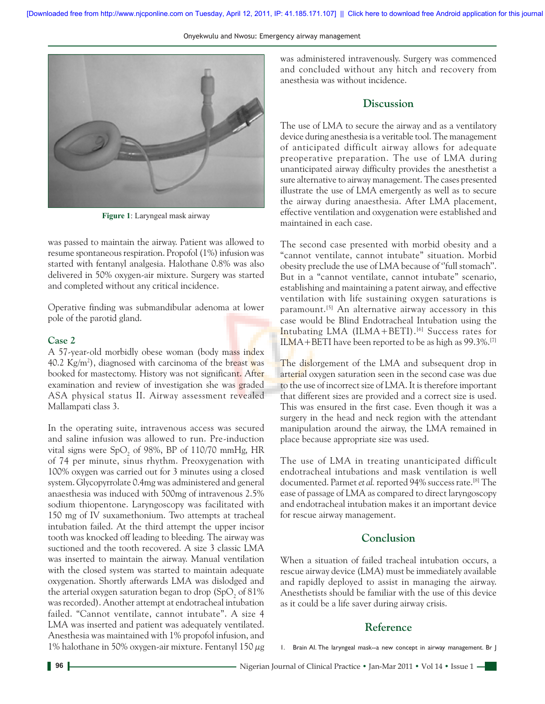Onyekwulu and Nwosu: Emergency airway management



**Figure 1**: Laryngeal mask airway

was passed to maintain the airway. Patient was allowed to resume spontaneous respiration. Propofol (1%) infusion was started with fentanyl analgesia. Halothane 0.8% was also delivered in 50% oxygen-air mixture. Surgery was started and completed without any critical incidence.

Operative finding was submandibular adenoma at lower pole of the parotid gland.

#### **Case 2**

A 57-year-old morbidly obese woman (body mass index 40.2 Kg/m<sup>2</sup>), diagnosed with carcinoma of the breast was booked for mastectomy. History was not significant. After examination and review of investigation she was graded ASA physical status II. Airway assessment revealed Mallampati class 3.

In the operating suite, intravenous access was secured and saline infusion was allowed to run. Pre-induction vital signs were  $\text{SpO}_2$  of 98%, BP of 110/70 mmHg, HR of 74 per minute, sinus rhythm. Preoxygenation with 100% oxygen was carried out for 3 minutes using a closed system. Glycopyrrolate 0.4mg was administered and general anaesthesia was induced with 500mg of intravenous 2.5% sodium thiopentone. Laryngoscopy was facilitated with 150 mg of IV suxamethonium. Two attempts at tracheal intubation failed. At the third attempt the upper incisor tooth was knocked off leading to bleeding. The airway was suctioned and the tooth recovered. A size 3 classic LMA was inserted to maintain the airway. Manual ventilation with the closed system was started to maintain adequate oxygenation. Shortly afterwards LMA was dislodged and the arterial oxygen saturation began to drop (SpO<sub>2</sub> of 81%) was recorded). Another attempt at endotracheal intubation failed. "Cannot ventilate, cannot intubate". A size 4 LMA was inserted and patient was adequately ventilated. Anesthesia was maintained with 1% propofol infusion, and 1% halothane in 50% oxygen-air mixture. Fentanyl 150  $\mu$ g

was administered intravenously. Surgery was commenced and concluded without any hitch and recovery from anesthesia was without incidence.

## **Discussion**

The use of LMA to secure the airway and as a ventilatory device during anesthesia is a veritable tool. The management of anticipated difficult airway allows for adequate preoperative preparation. The use of LMA during unanticipated airway difficulty provides the anesthetist a sure alternative to airway management. The cases presented illustrate the use of LMA emergently as well as to secure the airway during anaesthesia. After LMA placement, effective ventilation and oxygenation were established and maintained in each case.

The second case presented with morbid obesity and a "cannot ventilate, cannot intubate" situation. Morbid obesity preclude the use of LMA because of ''full stomach''. But in a "cannot ventilate, cannot intubate" scenario, establishing and maintaining a patent airway, and effective ventilation with life sustaining oxygen saturations is paramount.<sup>[5]</sup> An alternative airway accessory in this case would be Blind Endotracheal Intubation using the Intubating LMA (ILMA+BETI).<sup>[6]</sup> Success rates for ILMA+BETI have been reported to be as high as 99.3%.[7]

The dislorgement of the LMA and subsequent drop in arterial oxygen saturation seen in the second case was due to the use of incorrect size of LMA. It is therefore important that different sizes are provided and a correct size is used. This was ensured in the first case. Even though it was a surgery in the head and neck region with the attendant manipulation around the airway, the LMA remained in place because appropriate size was used.

The use of LMA in treating unanticipated difficult endotracheal intubations and mask ventilation is well documented. Parmet *et al.* reported 94% success rate.<sup>[8]</sup> The ease of passage of LMA as compared to direct laryngoscopy and endotracheal intubation makes it an important device for rescue airway management.

## **Conclusion**

When a situation of failed tracheal intubation occurs, a rescue airway device (LMA) must be immediately available and rapidly deployed to assist in managing the airway. Anesthetists should be familiar with the use of this device as it could be a life saver during airway crisis.

## **Reference**

1. Brain AI. The laryngeal mask--a new concept in airway management. Br J